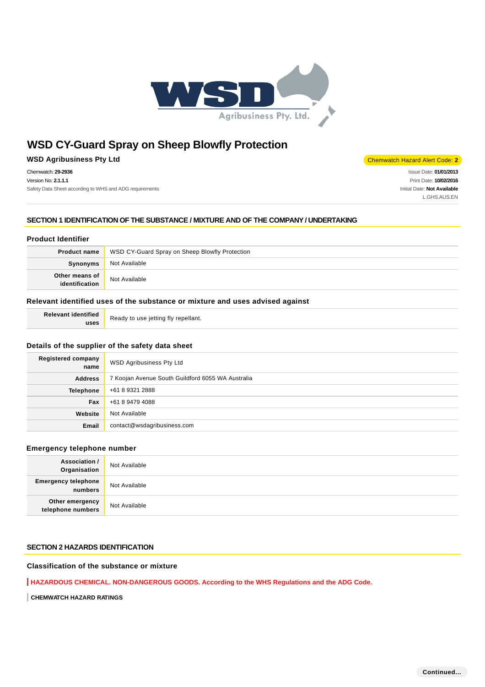

## **WSD Agribusiness Pty Ltd** Chemwatch Hazard Alert Code: 2

Chemwatch: **29-2936** Version No: **2.1.1.1** Safety Data Sheet according to WHS and ADG requirements

Issue Date: **01/01/2013** Print Date: **10/02/2016** Initial Date: **Not Available** L.GHS.AUS.EN

### **SECTION 1 IDENTIFICATION OF THE SUBSTANCE / MIXTURE AND OF THE COMPANY / UNDERTAKING**

## **Product Identifier**

|                                  | <b>Product name</b> WSD CY-Guard Spray on Sheep Blowfly Protection |
|----------------------------------|--------------------------------------------------------------------|
| Synonyms                         | Not Available                                                      |
| Other means of<br>identification | Not Available                                                      |

### **Relevant identified uses of the substance or mixture and uses advised against**

**Relevant identified uses**

Ready to use jetting fly repellant.

### **Details of the supplier of the safety data sheet**

| <b>Registered company</b><br>name | WSD Agribusiness Pty Ltd                          |
|-----------------------------------|---------------------------------------------------|
| <b>Address</b>                    | 7 Koojan Avenue South Guildford 6055 WA Australia |
| <b>Telephone</b>                  | +61 8 9321 2888                                   |
| Fax                               | +61 8 9479 4088                                   |
| Website                           | Not Available                                     |
| Email                             | contact@wsdagribusiness.com                       |

### **Emergency telephone number**

| <b>Association /</b><br>Organisation    | Not Available |
|-----------------------------------------|---------------|
| <b>Emergency telephone</b><br>  numbers | Not Available |
| Other emergency<br>telephone numbers    | Not Available |

### **SECTION 2 HAZARDS IDENTIFICATION**

## **Classification of the substance or mixture**

**HAZARDOUS CHEMICAL. NON-DANGEROUS GOODS. According to the WHS Regulations and the ADG Code.**

**CHEMWATCH HAZARD RATINGS**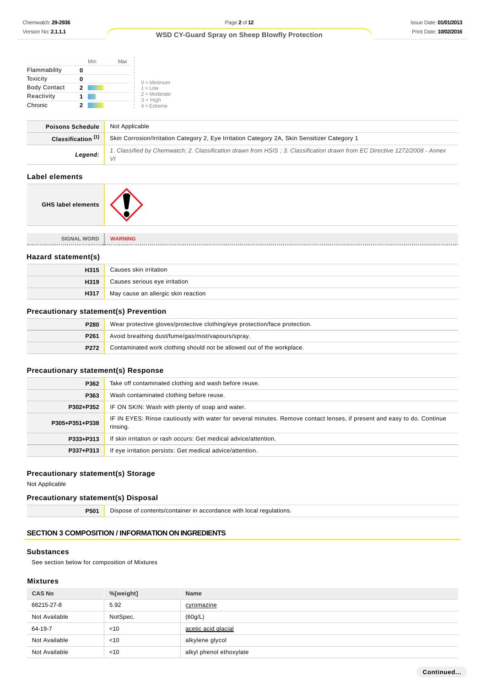|                     | Min | Max |                              |
|---------------------|-----|-----|------------------------------|
| Flammability        |     |     |                              |
| Toxicity            |     |     | $0 =$ Minimum                |
| <b>Body Contact</b> | 2   |     | $1 = 1$ OW                   |
| Reactivity          |     |     | $2 =$ Moderate<br>$3 = High$ |
| Chronic             |     |     | $4 =$ Extreme                |

| <b>Poisons Schedule</b>       | Not Applicable                                                                                                                   |
|-------------------------------|----------------------------------------------------------------------------------------------------------------------------------|
| Classification <sup>[1]</sup> | Skin Corrosion/Irritation Category 2, Eye Irritation Category 2A, Skin Sensitizer Category 1                                     |
| Legend:                       | 1. Classified by Chemwatch; 2. Classification drawn from HSIS; 3. Classification drawn from EC Directive 1272/2008 - Annex<br>VI |

## **Label elements**



| <b>SIGNAL WORD</b>  | <b>WARNING</b>                      |
|---------------------|-------------------------------------|
|                     |                                     |
| Hazard statement(s) |                                     |
| H315                | Causes skin irritation              |
| H319                | Causes serious eye irritation       |
| H317                | May cause an allergic skin reaction |

## **Precautionary statement(s) Prevention**

| P280             | Wear protective gloves/protective clothing/eye protection/face protection. |
|------------------|----------------------------------------------------------------------------|
| P261             | Avoid breathing dust/fume/gas/mist/vapours/spray.                          |
| P <sub>272</sub> | Contaminated work clothing should not be allowed out of the workplace.     |

## **Precautionary statement(s) Response**

| Chemwatch: 29-2936                                                                                                                         |                                                                                                                                     | Page 2 of 12                                                        | <b>Issue Date: 01/01/20</b> |
|--------------------------------------------------------------------------------------------------------------------------------------------|-------------------------------------------------------------------------------------------------------------------------------------|---------------------------------------------------------------------|-----------------------------|
| Version No: <b>2.1.1.1</b><br><b>WSD CY-Guard Spray on Sheep Blowfly Protection</b>                                                        |                                                                                                                                     |                                                                     | Print Date: 10/02/20        |
| Min<br>Flammability<br>0<br>Toxicity<br>0<br><b>Body Contact</b><br>2 <sup>1</sup><br>Reactivity<br>$\mathbf 1$<br>Chronic<br>$\mathbf{2}$ | Max<br>$0 =$ Minimum<br>$1 =$ Low<br>$2 =$ Moderate<br>$3 = High$<br>$4 =$ Extreme                                                  |                                                                     |                             |
| <b>Poisons Schedule</b>                                                                                                                    | Not Applicable                                                                                                                      |                                                                     |                             |
| Classification <sup>[1]</sup>                                                                                                              | Skin Corrosion/Irritation Category 2, Eye Irritation Category 2A, Skin Sensitizer Category 1                                        |                                                                     |                             |
| Legend:                                                                                                                                    | 1. Classified by Chemwatch; 2. Classification drawn from HSIS; 3. Classification drawn from EC Directive 1272/2008 - Annex<br>VI    |                                                                     |                             |
| <b>Label elements</b>                                                                                                                      |                                                                                                                                     |                                                                     |                             |
| <b>GHS label elements</b>                                                                                                                  |                                                                                                                                     |                                                                     |                             |
| <b>SIGNAL WORD</b>                                                                                                                         | <b>WARNING</b>                                                                                                                      |                                                                     |                             |
| Hazard statement(s)<br>H315                                                                                                                |                                                                                                                                     |                                                                     |                             |
| H319                                                                                                                                       | Causes skin irritation                                                                                                              |                                                                     |                             |
| H317                                                                                                                                       | Causes serious eye irritation<br>May cause an allergic skin reaction                                                                |                                                                     |                             |
|                                                                                                                                            |                                                                                                                                     |                                                                     |                             |
| <b>Precautionary statement(s) Prevention</b>                                                                                               |                                                                                                                                     |                                                                     |                             |
| P280                                                                                                                                       | Wear protective gloves/protective clothing/eye protection/face protection.                                                          |                                                                     |                             |
| P261                                                                                                                                       | Avoid breathing dust/fume/gas/mist/vapours/spray.                                                                                   |                                                                     |                             |
| P272                                                                                                                                       | Contaminated work clothing should not be allowed out of the workplace.                                                              |                                                                     |                             |
| <b>Precautionary statement(s) Response</b>                                                                                                 |                                                                                                                                     |                                                                     |                             |
| P362                                                                                                                                       | Take off contaminated clothing and wash before reuse.                                                                               |                                                                     |                             |
| P363                                                                                                                                       | Wash contaminated clothing before reuse.                                                                                            |                                                                     |                             |
| P302+P352                                                                                                                                  | IF ON SKIN: Wash with plenty of soap and water.                                                                                     |                                                                     |                             |
| P305+P351+P338                                                                                                                             | IF IN EYES: Rinse cautiously with water for several minutes. Remove contact lenses, if present and easy to do. Continue<br>rinsing. |                                                                     |                             |
| P333+P313                                                                                                                                  | If skin irritation or rash occurs: Get medical advice/attention.                                                                    |                                                                     |                             |
| P337+P313                                                                                                                                  | If eye irritation persists: Get medical advice/attention.                                                                           |                                                                     |                             |
| <b>Precautionary statement(s) Storage</b><br>Not Applicable                                                                                |                                                                                                                                     |                                                                     |                             |
| <b>Precautionary statement(s) Disposal</b>                                                                                                 |                                                                                                                                     |                                                                     |                             |
| P501<br><b>SECTION 3 COMPOSITION / INFORMATION ON INGREDIENTS</b>                                                                          |                                                                                                                                     | Dispose of contents/container in accordance with local regulations. |                             |
| <b>Substances</b><br>See section below for composition of Mixtures<br><b>Mixtures</b>                                                      |                                                                                                                                     |                                                                     |                             |
| <b>CAS No</b>                                                                                                                              | %[weight]                                                                                                                           | <b>Name</b>                                                         |                             |
| 66215-27-8                                                                                                                                 | 5.92                                                                                                                                | cyromazine                                                          |                             |
| Not Available                                                                                                                              | NotSpec.                                                                                                                            | (60g/L)                                                             |                             |
| 64-19-7                                                                                                                                    | $<$ 10<br>acetic acid glacial                                                                                                       |                                                                     |                             |

## **Precautionary statement(s) Storage**

## **Precautionary statement(s) Disposal**

| Dispose of contents/container in accordance with local requiations.<br>70U. |
|-----------------------------------------------------------------------------|
|-----------------------------------------------------------------------------|

# **SECTION 3 COMPOSITION / INFORMATION ON INGREDIENTS**

### **Substances**

## **Mixtures**

| <b>CAS No</b> | %[weight] | <b>Name</b>             |
|---------------|-----------|-------------------------|
| 66215-27-8    | 5.92      | cyromazine              |
| Not Available | NotSpec.  | (60g/L)                 |
| 64-19-7       | $<$ 10    | acetic acid glacial     |
| Not Available | $<$ 10    | alkylene glycol         |
| Not Available | $<$ 10    | alkyl phenol ethoxylate |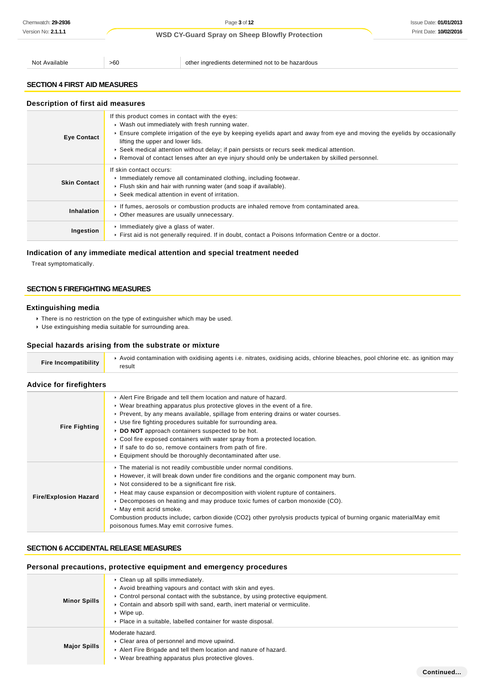Not Available  $\vert$  >60  $\vert$  >60 other ingredients determined not to be hazardous

## **SECTION 4 FIRST AID MEASURES**

## **Description of first aid measures**

| <b>Eye Contact</b>  | If this product comes in contact with the eyes:<br>• Wash out immediately with fresh running water.<br>Ensure complete irrigation of the eye by keeping eyelids apart and away from eye and moving the eyelids by occasionally<br>lifting the upper and lower lids.<br>► Seek medical attention without delay; if pain persists or recurs seek medical attention.<br>► Removal of contact lenses after an eye injury should only be undertaken by skilled personnel. |
|---------------------|----------------------------------------------------------------------------------------------------------------------------------------------------------------------------------------------------------------------------------------------------------------------------------------------------------------------------------------------------------------------------------------------------------------------------------------------------------------------|
| <b>Skin Contact</b> | If skin contact occurs:<br>Immediately remove all contaminated clothing, including footwear.<br>Flush skin and hair with running water (and soap if available).<br>▶ Seek medical attention in event of irritation.                                                                                                                                                                                                                                                  |
| Inhalation          | If fumes, aerosols or combustion products are inhaled remove from contaminated area.<br>• Other measures are usually unnecessary.                                                                                                                                                                                                                                                                                                                                    |
| Ingestion           | Immediately give a glass of water.<br>First aid is not generally required. If in doubt, contact a Poisons Information Centre or a doctor.                                                                                                                                                                                                                                                                                                                            |

### **Indication of any immediate medical attention and special treatment needed**

Treat symptomatically.

## **SECTION 5 FIREFIGHTING MEASURES**

## **Extinguishing media**

- There is no restriction on the type of extinguisher which may be used.
- Use extinguishing media suitable for surrounding area.

## **Special hazards arising from the substrate or mixture**

| <b>Fire Incompatibility</b>    | ▶ Avoid contamination with oxidising agents i.e. nitrates, oxidising acids, chlorine bleaches, pool chlorine etc. as ignition may<br>result                                                                                                                                                                                                                                                                                                                                                                                                                                                     |
|--------------------------------|-------------------------------------------------------------------------------------------------------------------------------------------------------------------------------------------------------------------------------------------------------------------------------------------------------------------------------------------------------------------------------------------------------------------------------------------------------------------------------------------------------------------------------------------------------------------------------------------------|
| <b>Advice for firefighters</b> |                                                                                                                                                                                                                                                                                                                                                                                                                                                                                                                                                                                                 |
| <b>Fire Fighting</b>           | Alert Fire Brigade and tell them location and nature of hazard.<br>$\triangleright$ Wear breathing apparatus plus protective gloves in the event of a fire.<br>► Prevent, by any means available, spillage from entering drains or water courses.<br>► Use fire fighting procedures suitable for surrounding area.<br>DO NOT approach containers suspected to be hot.<br>$\triangleright$ Cool fire exposed containers with water spray from a protected location.<br>If safe to do so, remove containers from path of fire.<br>Equipment should be thoroughly decontaminated after use.        |
| <b>Fire/Explosion Hazard</b>   | The material is not readily combustible under normal conditions.<br>► However, it will break down under fire conditions and the organic component may burn.<br>Not considered to be a significant fire risk.<br>► Heat may cause expansion or decomposition with violent rupture of containers.<br>$\triangleright$ Decomposes on heating and may produce toxic fumes of carbon monoxide (CO).<br>May emit acrid smoke.<br>Combustion products include; carbon dioxide (CO2) other pyrolysis products typical of burning organic materialMay emit<br>poisonous fumes. May emit corrosive fumes. |

## **SECTION 6 ACCIDENTAL RELEASE MEASURES**

## **Personal precautions, protective equipment and emergency procedures**

| <b>Minor Spills</b> | $\triangleright$ Clean up all spills immediately.<br>Avoid breathing vapours and contact with skin and eyes.<br>$\triangleright$ Control personal contact with the substance, by using protective equipment.<br>► Contain and absorb spill with sand, earth, inert material or vermiculite.<br>$\triangleright$ Wipe up.<br>• Place in a suitable, labelled container for waste disposal. |
|---------------------|-------------------------------------------------------------------------------------------------------------------------------------------------------------------------------------------------------------------------------------------------------------------------------------------------------------------------------------------------------------------------------------------|
| <b>Major Spills</b> | Moderate hazard.<br>• Clear area of personnel and move upwind.<br>Alert Fire Brigade and tell them location and nature of hazard.<br>• Wear breathing apparatus plus protective gloves.                                                                                                                                                                                                   |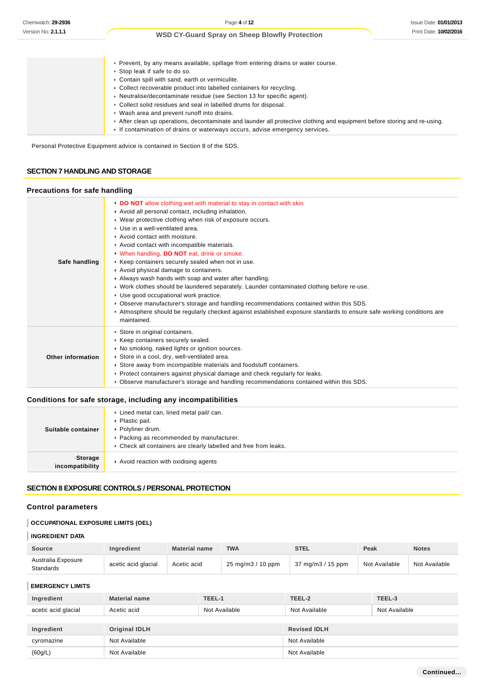- Prevent, by any means available, spillage from entering drains or water course.
	- Stop leak if safe to do so.
	- Contain spill with sand, earth or vermiculite.
	- Collect recoverable product into labelled containers for recycling.
	- ▶ Neutralise/decontaminate residue (see Section 13 for specific agent).
	- Collect solid residues and seal in labelled drums for disposal.
	- Wash area and prevent runoff into drains.
- After clean up operations, decontaminate and launder all protective clothing and equipment before storing and re-using.
- If contamination of drains or waterways occurs, advise emergency services.

Personal Protective Equipment advice is contained in Section 8 of the SDS.

## **SECTION 7 HANDLING AND STORAGE**

### **Precautions for safe handling**

| Safe handling     | DO NOT allow clothing wet with material to stay in contact with skin<br>Avoid all personal contact, including inhalation.<br>▶ Wear protective clothing when risk of exposure occurs.<br>▶ Use in a well-ventilated area.<br>Avoid contact with moisture.<br>Avoid contact with incompatible materials.<br>When handling, <b>DO NOT</b> eat, drink or smoke.<br>▶ Keep containers securely sealed when not in use.<br>Avoid physical damage to containers.<br>Always wash hands with soap and water after handling.<br>▶ Work clothes should be laundered separately. Launder contaminated clothing before re-use.<br>Use good occupational work practice.<br>▶ Observe manufacturer's storage and handling recommendations contained within this SDS.<br>▶ Atmosphere should be regularly checked against established exposure standards to ensure safe working conditions are<br>maintained. |
|-------------------|------------------------------------------------------------------------------------------------------------------------------------------------------------------------------------------------------------------------------------------------------------------------------------------------------------------------------------------------------------------------------------------------------------------------------------------------------------------------------------------------------------------------------------------------------------------------------------------------------------------------------------------------------------------------------------------------------------------------------------------------------------------------------------------------------------------------------------------------------------------------------------------------|
| Other information | Store in original containers.<br>▶ Keep containers securely sealed.<br>▶ No smoking, naked lights or ignition sources.<br>Store in a cool, dry, well-ventilated area.<br>Store away from incompatible materials and foodstuff containers.<br>► Protect containers against physical damage and check regularly for leaks.<br>▶ Observe manufacturer's storage and handling recommendations contained within this SDS.                                                                                                                                                                                                                                                                                                                                                                                                                                                                           |

## **Conditions for safe storage, including any incompatibilities**

| Suitable container                | ▶ Lined metal can, lined metal pail/ can.<br>▶ Plastic pail.<br>▶ Polyliner drum.<br>▶ Packing as recommended by manufacturer.<br>• Check all containers are clearly labelled and free from leaks. |
|-----------------------------------|----------------------------------------------------------------------------------------------------------------------------------------------------------------------------------------------------|
| <b>Storage</b><br>incompatibility | Avoid reaction with oxidising agents                                                                                                                                                               |

### **SECTION 8 EXPOSURE CONTROLS / PERSONAL PROTECTION**

### **Control parameters**

## **OCCUPATIONAL EXPOSURE LIMITS (OEL)**

#### **INGREDIENT DATA**

| <b>Source</b>                   | <b>Ingredient</b>   | <b>Material name</b> | TWA               | <b>STEL</b>                            | Peak          | <b>Notes</b>  |
|---------------------------------|---------------------|----------------------|-------------------|----------------------------------------|---------------|---------------|
| Australia Exposure<br>Standards | acetic acid glacial | Acetic acid          | 25 mg/m3 / 10 ppm | $37 \text{ ma/m}$ $3 / 15 \text{ ppm}$ | Not Available | Not Available |

#### **EMERGENCY LIMITS**

| Ingredient          | <b>Material name</b> | TEEL-1        | TEEL-2              | TEEL-3        |
|---------------------|----------------------|---------------|---------------------|---------------|
| acetic acid glacial | Acetic acid          | Not Available | Not Available       | Not Available |
|                     |                      |               |                     |               |
| Ingredient          | <b>Original IDLH</b> |               | <b>Revised IDLH</b> |               |
| cyromazine          | Not Available        |               | Not Available       |               |
| (60g/L)             | Not Available        |               | Not Available       |               |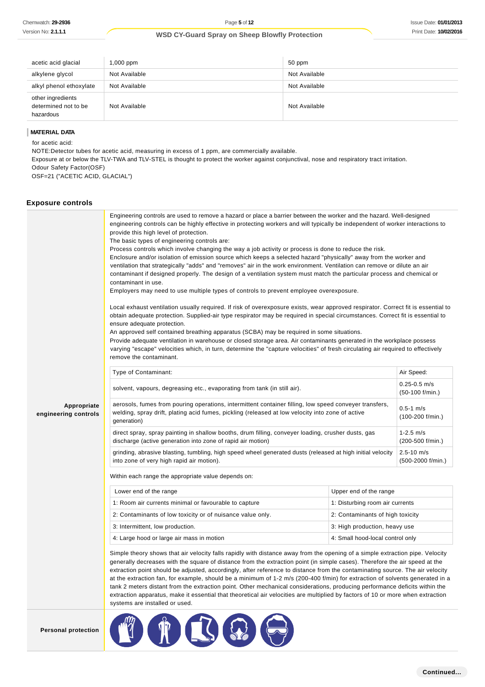| acetic acid glacial                                    | 1,000 ppm     | 50 ppm        |
|--------------------------------------------------------|---------------|---------------|
| alkylene glycol                                        | Not Available | Not Available |
| alkyl phenol ethoxylate                                | Not Available | Not Available |
| other ingredients<br>determined not to be<br>hazardous | Not Available | Not Available |

#### **MATERIAL DATA**

#### **Exposure controls**

| Chemwatch: <b>29-2936</b>                                                       | Page 5 of 12                                                                                                                                                                                                                                                                                                                                                                                                                                                                                                                                                                                                                                                                                                                                                                                                                                                                                                                                                                                                                                                                                                                                                                                                                                                                                                                                                                                                                                                                                                            |                                   | Issue Date: 01/01/2                 |
|---------------------------------------------------------------------------------|-------------------------------------------------------------------------------------------------------------------------------------------------------------------------------------------------------------------------------------------------------------------------------------------------------------------------------------------------------------------------------------------------------------------------------------------------------------------------------------------------------------------------------------------------------------------------------------------------------------------------------------------------------------------------------------------------------------------------------------------------------------------------------------------------------------------------------------------------------------------------------------------------------------------------------------------------------------------------------------------------------------------------------------------------------------------------------------------------------------------------------------------------------------------------------------------------------------------------------------------------------------------------------------------------------------------------------------------------------------------------------------------------------------------------------------------------------------------------------------------------------------------------|-----------------------------------|-------------------------------------|
| Version No: <b>2.1.1.1</b>                                                      | <b>WSD CY-Guard Spray on Sheep Blowfly Protection</b>                                                                                                                                                                                                                                                                                                                                                                                                                                                                                                                                                                                                                                                                                                                                                                                                                                                                                                                                                                                                                                                                                                                                                                                                                                                                                                                                                                                                                                                                   |                                   |                                     |
|                                                                                 |                                                                                                                                                                                                                                                                                                                                                                                                                                                                                                                                                                                                                                                                                                                                                                                                                                                                                                                                                                                                                                                                                                                                                                                                                                                                                                                                                                                                                                                                                                                         |                                   |                                     |
| acetic acid glacial                                                             | 1,000 ppm                                                                                                                                                                                                                                                                                                                                                                                                                                                                                                                                                                                                                                                                                                                                                                                                                                                                                                                                                                                                                                                                                                                                                                                                                                                                                                                                                                                                                                                                                                               | 50 ppm                            |                                     |
| alkylene glycol                                                                 | Not Available                                                                                                                                                                                                                                                                                                                                                                                                                                                                                                                                                                                                                                                                                                                                                                                                                                                                                                                                                                                                                                                                                                                                                                                                                                                                                                                                                                                                                                                                                                           | Not Available                     |                                     |
| alkyl phenol ethoxylate                                                         | Not Available                                                                                                                                                                                                                                                                                                                                                                                                                                                                                                                                                                                                                                                                                                                                                                                                                                                                                                                                                                                                                                                                                                                                                                                                                                                                                                                                                                                                                                                                                                           | Not Available                     |                                     |
| other ingredients<br>determined not to be<br>hazardous                          | Not Available                                                                                                                                                                                                                                                                                                                                                                                                                                                                                                                                                                                                                                                                                                                                                                                                                                                                                                                                                                                                                                                                                                                                                                                                                                                                                                                                                                                                                                                                                                           | Not Available                     |                                     |
| <b>MATERIAL DATA</b>                                                            |                                                                                                                                                                                                                                                                                                                                                                                                                                                                                                                                                                                                                                                                                                                                                                                                                                                                                                                                                                                                                                                                                                                                                                                                                                                                                                                                                                                                                                                                                                                         |                                   |                                     |
| for acetic acid:<br>Odour Safety Factor(OSF)<br>OSF=21 ("ACETIC ACID, GLACIAL") | NOTE:Detector tubes for acetic acid, measuring in excess of 1 ppm, are commercially available.<br>Exposure at or below the TLV-TWA and TLV-STEL is thought to protect the worker against conjunctival, nose and respiratory tract irritation.                                                                                                                                                                                                                                                                                                                                                                                                                                                                                                                                                                                                                                                                                                                                                                                                                                                                                                                                                                                                                                                                                                                                                                                                                                                                           |                                   |                                     |
| <b>Exposure controls</b>                                                        |                                                                                                                                                                                                                                                                                                                                                                                                                                                                                                                                                                                                                                                                                                                                                                                                                                                                                                                                                                                                                                                                                                                                                                                                                                                                                                                                                                                                                                                                                                                         |                                   |                                     |
|                                                                                 | engineering controls can be highly effective in protecting workers and will typically be independent of worker interactions to<br>provide this high level of protection.<br>The basic types of engineering controls are:<br>Process controls which involve changing the way a job activity or process is done to reduce the risk.<br>Enclosure and/or isolation of emission source which keeps a selected hazard "physically" away from the worker and<br>ventilation that strategically "adds" and "removes" air in the work environment. Ventilation can remove or dilute an air<br>contaminant if designed properly. The design of a ventilation system must match the particular process and chemical or<br>contaminant in use.<br>Employers may need to use multiple types of controls to prevent employee overexposure.<br>Local exhaust ventilation usually required. If risk of overexposure exists, wear approved respirator. Correct fit is essential to<br>obtain adequate protection. Supplied-air type respirator may be required in special circumstances. Correct fit is essential to<br>ensure adequate protection.<br>An approved self contained breathing apparatus (SCBA) may be required in some situations.<br>Provide adequate ventilation in warehouse or closed storage area. Air contaminants generated in the workplace possess<br>varying "escape" velocities which, in turn, determine the "capture velocities" of fresh circulating air required to effectively<br>remove the contaminant. |                                   |                                     |
|                                                                                 | Type of Contaminant:                                                                                                                                                                                                                                                                                                                                                                                                                                                                                                                                                                                                                                                                                                                                                                                                                                                                                                                                                                                                                                                                                                                                                                                                                                                                                                                                                                                                                                                                                                    |                                   | Air Speed:                          |
|                                                                                 | solvent, vapours, degreasing etc., evaporating from tank (in still air).                                                                                                                                                                                                                                                                                                                                                                                                                                                                                                                                                                                                                                                                                                                                                                                                                                                                                                                                                                                                                                                                                                                                                                                                                                                                                                                                                                                                                                                |                                   | $0.25 - 0.5$ m/s<br>(50-100 f/min.) |
| Appropriate<br>engineering controls                                             | aerosols, fumes from pouring operations, intermittent container filling, low speed conveyer transfers,<br>welding, spray drift, plating acid fumes, pickling (released at low velocity into zone of active<br>generation)                                                                                                                                                                                                                                                                                                                                                                                                                                                                                                                                                                                                                                                                                                                                                                                                                                                                                                                                                                                                                                                                                                                                                                                                                                                                                               | $0.5 - 1$ m/s<br>(100-200 f/min.) |                                     |
|                                                                                 | direct spray, spray painting in shallow booths, drum filling, conveyer loading, crusher dusts, gas<br>discharge (active generation into zone of rapid air motion)                                                                                                                                                                                                                                                                                                                                                                                                                                                                                                                                                                                                                                                                                                                                                                                                                                                                                                                                                                                                                                                                                                                                                                                                                                                                                                                                                       |                                   | $1 - 2.5$ m/s<br>(200-500 f/min.)   |
|                                                                                 | grinding, abrasive blasting, tumbling, high speed wheel generated dusts (released at high initial velocity<br>into zone of very high rapid air motion).                                                                                                                                                                                                                                                                                                                                                                                                                                                                                                                                                                                                                                                                                                                                                                                                                                                                                                                                                                                                                                                                                                                                                                                                                                                                                                                                                                 |                                   | $2.5 - 10$ m/s<br>(500-2000 f/min.) |
|                                                                                 | Within each range the appropriate value depends on:                                                                                                                                                                                                                                                                                                                                                                                                                                                                                                                                                                                                                                                                                                                                                                                                                                                                                                                                                                                                                                                                                                                                                                                                                                                                                                                                                                                                                                                                     |                                   |                                     |
|                                                                                 | Lower end of the range                                                                                                                                                                                                                                                                                                                                                                                                                                                                                                                                                                                                                                                                                                                                                                                                                                                                                                                                                                                                                                                                                                                                                                                                                                                                                                                                                                                                                                                                                                  | Upper end of the range            |                                     |
|                                                                                 | 1: Room air currents minimal or favourable to capture                                                                                                                                                                                                                                                                                                                                                                                                                                                                                                                                                                                                                                                                                                                                                                                                                                                                                                                                                                                                                                                                                                                                                                                                                                                                                                                                                                                                                                                                   | 1: Disturbing room air currents   |                                     |
|                                                                                 | 2: Contaminants of low toxicity or of nuisance value only.<br>2: Contaminants of high toxicity                                                                                                                                                                                                                                                                                                                                                                                                                                                                                                                                                                                                                                                                                                                                                                                                                                                                                                                                                                                                                                                                                                                                                                                                                                                                                                                                                                                                                          |                                   |                                     |
|                                                                                 | 3: Intermittent, low production.<br>3: High production, heavy use                                                                                                                                                                                                                                                                                                                                                                                                                                                                                                                                                                                                                                                                                                                                                                                                                                                                                                                                                                                                                                                                                                                                                                                                                                                                                                                                                                                                                                                       |                                   |                                     |
|                                                                                 | 4: Small hood-local control only<br>4: Large hood or large air mass in motion                                                                                                                                                                                                                                                                                                                                                                                                                                                                                                                                                                                                                                                                                                                                                                                                                                                                                                                                                                                                                                                                                                                                                                                                                                                                                                                                                                                                                                           |                                   |                                     |
|                                                                                 | Simple theory shows that air velocity falls rapidly with distance away from the opening of a simple extraction pipe. Velocity<br>generally decreases with the square of distance from the extraction point (in simple cases). Therefore the air speed at the<br>extraction point should be adjusted, accordingly, after reference to distance from the contaminating source. The air velocity<br>at the extraction fan, for example, should be a minimum of 1-2 m/s (200-400 f/min) for extraction of solvents generated in a<br>tank 2 meters distant from the extraction point. Other mechanical considerations, producing performance deficits within the<br>extraction apparatus, make it essential that theoretical air velocities are multiplied by factors of 10 or more when extraction<br>systems are installed or used.                                                                                                                                                                                                                                                                                                                                                                                                                                                                                                                                                                                                                                                                                       |                                   |                                     |
| <b>Personal protection</b>                                                      | $\bullet \qquad \bullet \qquad \bullet$                                                                                                                                                                                                                                                                                                                                                                                                                                                                                                                                                                                                                                                                                                                                                                                                                                                                                                                                                                                                                                                                                                                                                                                                                                                                                                                                                                                                                                                                                 |                                   |                                     |

**Personal protection** 

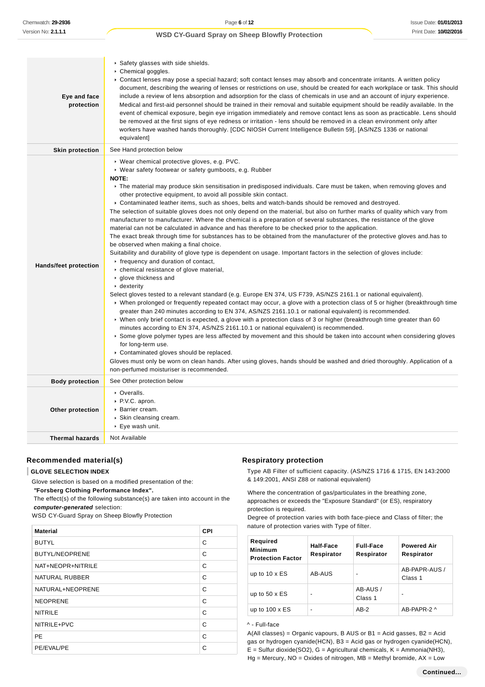| Eye and face<br>protection   | ▶ Safety glasses with side shields.<br>$\triangleright$ Chemical goggles.<br>► Contact lenses may pose a special hazard; soft contact lenses may absorb and concentrate irritants. A written policy<br>document, describing the wearing of lenses or restrictions on use, should be created for each workplace or task. This should<br>include a review of lens absorption and adsorption for the class of chemicals in use and an account of injury experience.<br>Medical and first-aid personnel should be trained in their removal and suitable equipment should be readily available. In the<br>event of chemical exposure, begin eye irrigation immediately and remove contact lens as soon as practicable. Lens should<br>be removed at the first signs of eye redness or irritation - lens should be removed in a clean environment only after<br>workers have washed hands thoroughly. [CDC NIOSH Current Intelligence Bulletin 59], [AS/NZS 1336 or national<br>equivalent]                                                                                                                                                                                                                                                                                                                                                                                                                                                                                                                                                                                                                                                                                                                                                                                                                                                                                                                                                                                                                                                                                                                                                                                               |
|------------------------------|-------------------------------------------------------------------------------------------------------------------------------------------------------------------------------------------------------------------------------------------------------------------------------------------------------------------------------------------------------------------------------------------------------------------------------------------------------------------------------------------------------------------------------------------------------------------------------------------------------------------------------------------------------------------------------------------------------------------------------------------------------------------------------------------------------------------------------------------------------------------------------------------------------------------------------------------------------------------------------------------------------------------------------------------------------------------------------------------------------------------------------------------------------------------------------------------------------------------------------------------------------------------------------------------------------------------------------------------------------------------------------------------------------------------------------------------------------------------------------------------------------------------------------------------------------------------------------------------------------------------------------------------------------------------------------------------------------------------------------------------------------------------------------------------------------------------------------------------------------------------------------------------------------------------------------------------------------------------------------------------------------------------------------------------------------------------------------------------------------------------------------------------------------------------------------------|
| <b>Skin protection</b>       | See Hand protection below                                                                                                                                                                                                                                                                                                                                                                                                                                                                                                                                                                                                                                                                                                                                                                                                                                                                                                                                                                                                                                                                                                                                                                                                                                                                                                                                                                                                                                                                                                                                                                                                                                                                                                                                                                                                                                                                                                                                                                                                                                                                                                                                                           |
| <b>Hands/feet protection</b> | ▶ Wear chemical protective gloves, e.g. PVC.<br>▶ Wear safety footwear or safety gumboots, e.g. Rubber<br><b>NOTE:</b><br>▶ The material may produce skin sensitisation in predisposed individuals. Care must be taken, when removing gloves and<br>other protective equipment, to avoid all possible skin contact.<br>► Contaminated leather items, such as shoes, belts and watch-bands should be removed and destroyed.<br>The selection of suitable gloves does not only depend on the material, but also on further marks of quality which vary from<br>manufacturer to manufacturer. Where the chemical is a preparation of several substances, the resistance of the glove<br>material can not be calculated in advance and has therefore to be checked prior to the application.<br>The exact break through time for substances has to be obtained from the manufacturer of the protective gloves and has to<br>be observed when making a final choice.<br>Suitability and durability of glove type is dependent on usage. Important factors in the selection of gloves include:<br>Firequency and duration of contact,<br>• chemical resistance of glove material,<br>▶ glove thickness and<br>$\cdot$ dexterity<br>Select gloves tested to a relevant standard (e.g. Europe EN 374, US F739, AS/NZS 2161.1 or national equivalent).<br>► When prolonged or frequently repeated contact may occur, a glove with a protection class of 5 or higher (breakthrough time<br>greater than 240 minutes according to EN 374, AS/NZS 2161.10.1 or national equivalent) is recommended.<br>• When only brief contact is expected, a glove with a protection class of 3 or higher (breakthrough time greater than 60<br>minutes according to EN 374, AS/NZS 2161.10.1 or national equivalent) is recommended.<br>► Some glove polymer types are less affected by movement and this should be taken into account when considering gloves<br>for long-term use.<br>• Contaminated gloves should be replaced.<br>Gloves must only be worn on clean hands. After using gloves, hands should be washed and dried thoroughly. Application of a<br>non-perfumed moisturiser is recommended. |
| <b>Body protection</b>       | See Other protection below                                                                                                                                                                                                                                                                                                                                                                                                                                                                                                                                                                                                                                                                                                                                                                                                                                                                                                                                                                                                                                                                                                                                                                                                                                                                                                                                                                                                                                                                                                                                                                                                                                                                                                                                                                                                                                                                                                                                                                                                                                                                                                                                                          |
| Other protection             | • Overalls.<br>▶ P.V.C. apron.<br>▶ Barrier cream.<br>▶ Skin cleansing cream.<br>$\triangleright$ Eye wash unit.                                                                                                                                                                                                                                                                                                                                                                                                                                                                                                                                                                                                                                                                                                                                                                                                                                                                                                                                                                                                                                                                                                                                                                                                                                                                                                                                                                                                                                                                                                                                                                                                                                                                                                                                                                                                                                                                                                                                                                                                                                                                    |
| <b>Thermal hazards</b>       | Not Available                                                                                                                                                                                                                                                                                                                                                                                                                                                                                                                                                                                                                                                                                                                                                                                                                                                                                                                                                                                                                                                                                                                                                                                                                                                                                                                                                                                                                                                                                                                                                                                                                                                                                                                                                                                                                                                                                                                                                                                                                                                                                                                                                                       |

# **Recommended material(s)**

#### **GLOVE SELECTION INDEX**

Glove selection is based on a modified presentation of the:

 **"Forsberg Clothing Performance Index".**

 The effect(s) of the following substance(s) are taken into account in the **computer-generated** selection:

WSD CY-Guard Spray on Sheep Blowfly Protection

| <b>Material</b>       | <b>CPI</b> |
|-----------------------|------------|
| <b>BUTYL</b>          | C          |
| <b>BUTYL/NEOPRENE</b> | C          |
| NAT+NEOPR+NITRILE     | C          |
| <b>NATURAL RUBBER</b> | C          |
| NATURAL+NEOPRENE      | C          |
| <b>NEOPRENE</b>       | C          |
| <b>NITRILE</b>        | C          |
| NITRILE+PVC           | C          |
| <b>PE</b>             | C          |
| PE/EVAL/PE            | C          |

### **Respiratory protection**

Type AB Filter of sufficient capacity. (AS/NZS 1716 & 1715, EN 143:2000 & 149:2001, ANSI Z88 or national equivalent)

Where the concentration of gas/particulates in the breathing zone, approaches or exceeds the "Exposure Standard" (or ES), respiratory protection is required.

Degree of protection varies with both face-piece and Class of filter; the nature of protection varies with Type of filter.

| Required<br><b>Minimum</b><br><b>Protection Factor</b> | Half-Face<br>Respirator  | <b>Full-Face</b><br>Respirator | <b>Powered Air</b><br>Respirator |
|--------------------------------------------------------|--------------------------|--------------------------------|----------------------------------|
| up to $10 \times ES$                                   | AB-AUS                   | -                              | AB-PAPR-AUS /<br>Class 1         |
| up to $50 \times ES$                                   | $\overline{\phantom{0}}$ | AB-AUS /<br>Class 1            | $\blacksquare$                   |
| up to $100 \times ES$                                  | -                        | $AB-2$                         | AB-PAPR-2 ^                      |

^ - Full-face

A(All classes) = Organic vapours, B AUS or B1 = Acid gasses, B2 = Acid gas or hydrogen cyanide(HCN), B3 = Acid gas or hydrogen cyanide(HCN),  $E =$  Sulfur dioxide(SO2), G = Agricultural chemicals, K = Ammonia(NH3),  $Hg =$  Mercury, NO = Oxides of nitrogen, MB = Methyl bromide, AX = Low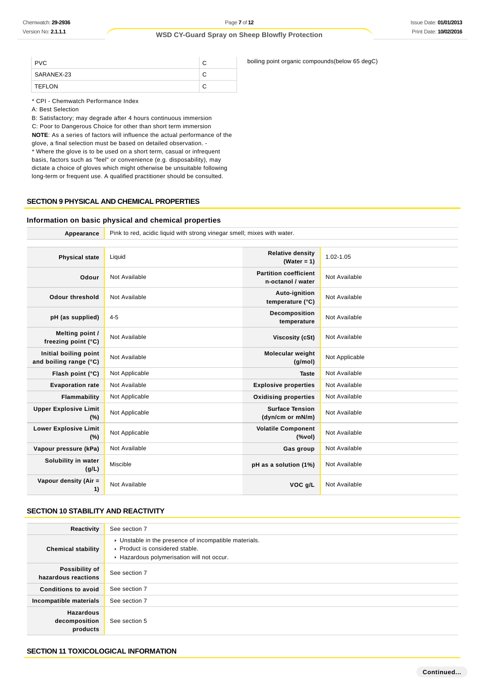| <b>PVC</b>    |  |
|---------------|--|
| SARANEX-23    |  |
| <b>TEFLON</b> |  |

\* CPI - Chemwatch Performance Index

A: Best Selection

B: Satisfactory; may degrade after 4 hours continuous immersion C: Poor to Dangerous Choice for other than short term immersion **NOTE**: As a series of factors will influence the actual performance of the

glove, a final selection must be based on detailed observation. - \* Where the glove is to be used on a short term, casual or infrequent basis, factors such as "feel" or convenience (e.g. disposability), may dictate a choice of gloves which might otherwise be unsuitable following long-term or frequent use. A qualified practitioner should be consulted.

## **SECTION 9 PHYSICAL AND CHEMICAL PROPERTIES**

### **Information on basic physical and chemical properties**

| Appearance                                      | Pink to red, acidic liquid with strong vinegar smell; mixes with water. |                                                   |                |
|-------------------------------------------------|-------------------------------------------------------------------------|---------------------------------------------------|----------------|
|                                                 |                                                                         |                                                   |                |
| <b>Physical state</b>                           | Liquid                                                                  | <b>Relative density</b><br>(Water = $1$ )         | 1.02-1.05      |
| Odour                                           | Not Available                                                           | <b>Partition coefficient</b><br>n-octanol / water | Not Available  |
| <b>Odour threshold</b>                          | Not Available                                                           | Auto-ignition<br>temperature (°C)                 | Not Available  |
| pH (as supplied)                                | $4 - 5$                                                                 | Decomposition<br>temperature                      | Not Available  |
| Melting point /<br>freezing point (°C)          | Not Available                                                           | Viscosity (cSt)                                   | Not Available  |
| Initial boiling point<br>and boiling range (°C) | Not Available                                                           | <b>Molecular weight</b><br>(g/mol)                | Not Applicable |
| Flash point (°C)                                | Not Applicable                                                          | <b>Taste</b>                                      | Not Available  |
| <b>Evaporation rate</b>                         | Not Available                                                           | <b>Explosive properties</b>                       | Not Available  |
| Flammability                                    | Not Applicable                                                          | <b>Oxidising properties</b>                       | Not Available  |
| <b>Upper Explosive Limit</b><br>(%)             | Not Applicable                                                          | <b>Surface Tension</b><br>(dyn/cm or mN/m)        | Not Available  |
| <b>Lower Explosive Limit</b><br>(%)             | Not Applicable                                                          | <b>Volatile Component</b><br>(%                   | Not Available  |
| Vapour pressure (kPa)                           | Not Available                                                           | Gas group                                         | Not Available  |
| Solubility in water<br>(g/L)                    | Miscible                                                                | pH as a solution (1%)                             | Not Available  |
| Vapour density (Air =<br>1)                     | Not Available                                                           | VOC g/L                                           | Not Available  |

### **SECTION 10 STABILITY AND REACTIVITY**

| Reactivity                                    | See section 7                                                                                                                        |
|-----------------------------------------------|--------------------------------------------------------------------------------------------------------------------------------------|
| <b>Chemical stability</b>                     | • Unstable in the presence of incompatible materials.<br>▶ Product is considered stable.<br>Hazardous polymerisation will not occur. |
| Possibility of<br>hazardous reactions         | See section 7                                                                                                                        |
| <b>Conditions to avoid</b>                    | See section 7                                                                                                                        |
| Incompatible materials                        | See section 7                                                                                                                        |
| <b>Hazardous</b><br>decomposition<br>products | See section 5                                                                                                                        |

boiling point organic compounds(below 65 degC)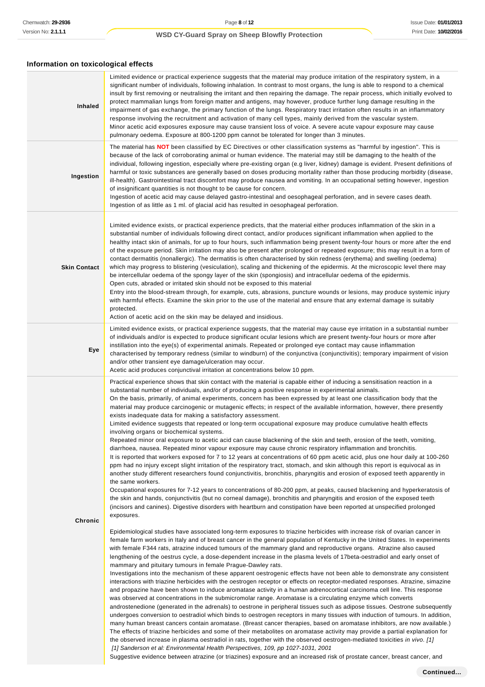## **Information on toxicological effects**

| Inhaled             | Limited evidence or practical experience suggests that the material may produce irritation of the respiratory system, in a<br>significant number of individuals, following inhalation. In contrast to most organs, the lung is able to respond to a chemical<br>insult by first removing or neutralising the irritant and then repairing the damage. The repair process, which initially evolved to<br>protect mammalian lungs from foreign matter and antigens, may however, produce further lung damage resulting in the<br>impairment of gas exchange, the primary function of the lungs. Respiratory tract irritation often results in an inflammatory<br>response involving the recruitment and activation of many cell types, mainly derived from the vascular system.<br>Minor acetic acid exposures exposure may cause transient loss of voice. A severe acute vapour exposure may cause<br>pulmonary oedema. Exposure at 800-1200 ppm cannot be tolerated for longer than 3 minutes.                                                                                                                                                                                                                                                                                                                                                                                                                                                                                                                                                                                                                                                                                                                                                                                                                                                                                                                                                                   |  |
|---------------------|-----------------------------------------------------------------------------------------------------------------------------------------------------------------------------------------------------------------------------------------------------------------------------------------------------------------------------------------------------------------------------------------------------------------------------------------------------------------------------------------------------------------------------------------------------------------------------------------------------------------------------------------------------------------------------------------------------------------------------------------------------------------------------------------------------------------------------------------------------------------------------------------------------------------------------------------------------------------------------------------------------------------------------------------------------------------------------------------------------------------------------------------------------------------------------------------------------------------------------------------------------------------------------------------------------------------------------------------------------------------------------------------------------------------------------------------------------------------------------------------------------------------------------------------------------------------------------------------------------------------------------------------------------------------------------------------------------------------------------------------------------------------------------------------------------------------------------------------------------------------------------------------------------------------------------------------------------------------|--|
| Ingestion           | The material has NOT been classified by EC Directives or other classification systems as "harmful by ingestion". This is<br>because of the lack of corroborating animal or human evidence. The material may still be damaging to the health of the<br>individual, following ingestion, especially where pre-existing organ (e.g liver, kidney) damage is evident. Present definitions of<br>harmful or toxic substances are generally based on doses producing mortality rather than those producing morbidity (disease,<br>ill-health). Gastrointestinal tract discomfort may produce nausea and vomiting. In an occupational setting however, ingestion<br>of insignificant quantities is not thought to be cause for concern.<br>Ingestion of acetic acid may cause delayed gastro-intestinal and oesophageal perforation, and in severe cases death.<br>Ingestion of as little as 1 ml. of glacial acid has resulted in oesophageal perforation.                                                                                                                                                                                                                                                                                                                                                                                                                                                                                                                                                                                                                                                                                                                                                                                                                                                                                                                                                                                                            |  |
| <b>Skin Contact</b> | Limited evidence exists, or practical experience predicts, that the material either produces inflammation of the skin in a<br>substantial number of individuals following direct contact, and/or produces significant inflammation when applied to the<br>healthy intact skin of animals, for up to four hours, such inflammation being present twenty-four hours or more after the end<br>of the exposure period. Skin irritation may also be present after prolonged or repeated exposure; this may result in a form of<br>contact dermatitis (nonallergic). The dermatitis is often characterised by skin redness (erythema) and swelling (oedema)<br>which may progress to blistering (vesiculation), scaling and thickening of the epidermis. At the microscopic level there may<br>be intercellular oedema of the spongy layer of the skin (spongiosis) and intracellular oedema of the epidermis.<br>Open cuts, abraded or irritated skin should not be exposed to this material<br>Entry into the blood-stream through, for example, cuts, abrasions, puncture wounds or lesions, may produce systemic injury<br>with harmful effects. Examine the skin prior to the use of the material and ensure that any external damage is suitably<br>protected.<br>Action of acetic acid on the skin may be delayed and insidious.                                                                                                                                                                                                                                                                                                                                                                                                                                                                                                                                                                                                                               |  |
| Eye                 | Limited evidence exists, or practical experience suggests, that the material may cause eye irritation in a substantial number<br>of individuals and/or is expected to produce significant ocular lesions which are present twenty-four hours or more after<br>instillation into the eye(s) of experimental animals. Repeated or prolonged eye contact may cause inflammation<br>characterised by temporary redness (similar to windburn) of the conjunctiva (conjunctivitis); temporary impairment of vision<br>and/or other transient eye damage/ulceration may occur.<br>Acetic acid produces conjunctival irritation at concentrations below 10 ppm.                                                                                                                                                                                                                                                                                                                                                                                                                                                                                                                                                                                                                                                                                                                                                                                                                                                                                                                                                                                                                                                                                                                                                                                                                                                                                                         |  |
| Chronic             | Practical experience shows that skin contact with the material is capable either of inducing a sensitisation reaction in a<br>substantial number of individuals, and/or of producing a positive response in experimental animals.<br>On the basis, primarily, of animal experiments, concern has been expressed by at least one classification body that the<br>material may produce carcinogenic or mutagenic effects; in respect of the available information, however, there presently<br>exists inadequate data for making a satisfactory assessment.<br>Limited evidence suggests that repeated or long-term occupational exposure may produce cumulative health effects<br>involving organs or biochemical systems.<br>Repeated minor oral exposure to acetic acid can cause blackening of the skin and teeth, erosion of the teeth, vomiting,<br>diarrhoea, nausea. Repeated minor vapour exposure may cause chronic respiratory inflammation and bronchitis.<br>It is reported that workers exposed for 7 to 12 years at concentrations of 60 ppm acetic acid, plus one hour daily at 100-260<br>ppm had no injury except slight irritation of the respiratory tract, stomach, and skin although this report is equivocal as in<br>another study different researchers found conjunctivitis, bronchitis, pharyngitis and erosion of exposed teeth apparently in<br>the same workers.<br>Occupational exposures for 7-12 years to concentrations of 80-200 ppm, at peaks, caused blackening and hyperkeratosis of<br>the skin and hands, conjunctivitis (but no corneal damage), bronchitis and pharyngitis and erosion of the exposed teeth<br>(incisors and canines). Digestive disorders with heartburn and constipation have been reported at unspecified prolonged<br>exposures.                                                                                                                                                                    |  |
|                     | Epidemiological studies have associated long-term exposures to triazine herbicides with increase risk of ovarian cancer in<br>female farm workers in Italy and of breast cancer in the general population of Kentucky in the United States. In experiments<br>with female F344 rats, atrazine induced tumours of the mammary gland and reproductive organs. Atrazine also caused<br>lengthening of the oestrus cycle, a dose-dependent increase in the plasma levels of 17beta-oestradiol and early onset of<br>mammary and pituitary tumours in female Prague-Dawley rats.<br>Investigations into the mechanism of these apparent oestrogenic effects have not been able to demonstrate any consistent<br>interactions with triazine herbicides with the oestrogen receptor or effects on receptor-mediated responses. Atrazine, simazine<br>and propazine have been shown to induce aromatase activity in a human adrenocortical carcinoma cell line. This response<br>was observed at concentrations in the submicromolar range. Aromatase is a circulating enzyme which converts<br>androstenedione (generated in the adrenals) to oestrone in peripheral tissues such as adipose tissues. Oestrone subsequently<br>undergoes conversion to oestradiol which binds to oestrogen receptors in many tissues with induction of tumours. In addition,<br>many human breast cancers contain aromatase. (Breast cancer therapies, based on aromatase inhibitors, are now available.)<br>The effects of triazine herbicides and some of their metabolites on aromatase activity may provide a partial explanation for<br>the observed increase in plasma oestradiol in rats, together with the observed oestrogen-mediated toxicities in vivo. [1]<br>[1] Sanderson et al: Environmental Health Perspectives, 109, pp 1027-1031, 2001<br>Suggestive evidence between atrazine (or triazines) exposure and an increased risk of prostate cancer, breast cancer, and |  |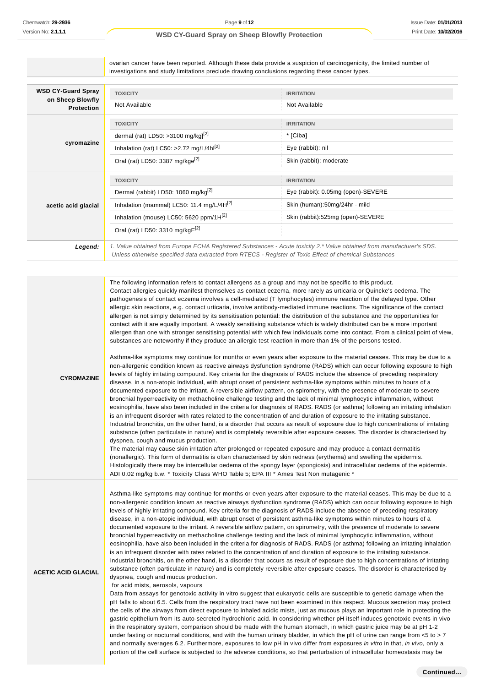ovarian cancer have been reported. Although these data provide a suspicion of carcinogenicity, the limited number of investigations and study limitations preclude drawing conclusions regarding these cancer types. **WSD CY-Guard Spray on Sheep Blowfly Protection TOXICITY IRRITATION** Not Available Not Available **cyromazine TOXICITY IRRITATION** dermal (rat) LD50: >3100 mg/kg $]^{[2]}$  \* [Ciba] Inhalation (rat) LC50: >2.72 mg/L/4hl<sup>[2]</sup> Eye (rabbit): nil Oral (rat) LD50: 3387 mg/kge<sup>[2]</sup> Skin (rabbit): moderate **acetic acid glacial TOXICITY IRRITATION** Dermal (rabbit) LD50: 1060 mg/kg<sup>[2]</sup> example and the US Eye (rabbit): 0.05mg (open)-SEVERE Inhalation (mammal) LC50: 11.4 mg/L/4H<sup>[2]</sup> Skin (human):50mg/24hr - mild Inhalation (mouse) LC50: 5620 ppm/1H<sup>[2]</sup> Skin (rabbit):525mg (open)-SEVERE Oral (rat) LD50: 3310 mg/kgE[2] **Legend:** 1. Value obtained from Europe ECHA Registered Substances - Acute toxicity 2.\* Value obtained from manufacturer's SDS.

The following information refers to contact allergens as a group and may not be specific to this product.

Unless otherwise specified data extracted from RTECS - Register of Toxic Effect of chemical Substances

Contact allergies quickly manifest themselves as contact eczema, more rarely as urticaria or Quincke's oedema. The pathogenesis of contact eczema involves a cell-mediated (T lymphocytes) immune reaction of the delayed type. Other allergic skin reactions, e.g. contact urticaria, involve antibody-mediated immune reactions. The significance of the contact allergen is not simply determined by its sensitisation potential: the distribution of the substance and the opportunities for contact with it are equally important. A weakly sensitising substance which is widely distributed can be a more important allergen than one with stronger sensitising potential with which few individuals come into contact. From a clinical point of view, substances are noteworthy if they produce an allergic test reaction in more than 1% of the persons tested.

**CYROMAZINE** Asthma-like symptoms may continue for months or even years after exposure to the material ceases. This may be due to a non-allergenic condition known as reactive airways dysfunction syndrome (RADS) which can occur following exposure to high levels of highly irritating compound. Key criteria for the diagnosis of RADS include the absence of preceding respiratory disease, in a non-atopic individual, with abrupt onset of persistent asthma-like symptoms within minutes to hours of a documented exposure to the irritant. A reversible airflow pattern, on spirometry, with the presence of moderate to severe bronchial hyperreactivity on methacholine challenge testing and the lack of minimal lymphocytic inflammation, without eosinophilia, have also been included in the criteria for diagnosis of RADS. RADS (or asthma) following an irritating inhalation is an infrequent disorder with rates related to the concentration of and duration of exposure to the irritating substance. Industrial bronchitis, on the other hand, is a disorder that occurs as result of exposure due to high concentrations of irritating substance (often particulate in nature) and is completely reversible after exposure ceases. The disorder is characterised by dyspnea, cough and mucus production.

The material may cause skin irritation after prolonged or repeated exposure and may produce a contact dermatitis (nonallergic). This form of dermatitis is often characterised by skin redness (erythema) and swelling the epidermis. Histologically there may be intercellular oedema of the spongy layer (spongiosis) and intracellular oedema of the epidermis. ADI 0.02 mg/kg b.w. \* Toxicity Class WHO Table 5; EPA III \* Ames Test Non mutagenic \*

Asthma-like symptoms may continue for months or even years after exposure to the material ceases. This may be due to a non-allergenic condition known as reactive airways dysfunction syndrome (RADS) which can occur following exposure to high levels of highly irritating compound. Key criteria for the diagnosis of RADS include the absence of preceding respiratory disease, in a non-atopic individual, with abrupt onset of persistent asthma-like symptoms within minutes to hours of a documented exposure to the irritant. A reversible airflow pattern, on spirometry, with the presence of moderate to severe bronchial hyperreactivity on methacholine challenge testing and the lack of minimal lymphocytic inflammation, without eosinophilia, have also been included in the criteria for diagnosis of RADS. RADS (or asthma) following an irritating inhalation is an infrequent disorder with rates related to the concentration of and duration of exposure to the irritating substance. Industrial bronchitis, on the other hand, is a disorder that occurs as result of exposure due to high concentrations of irritating substance (often particulate in nature) and is completely reversible after exposure ceases. The disorder is characterised by dyspnea, cough and mucus production.

for acid mists, aerosols, vapours

**ACETIC ACID GLACIAL**

Data from assays for genotoxic activity in vitro suggest that eukaryotic cells are susceptible to genetic damage when the pH falls to about 6.5. Cells from the respiratory tract have not been examined in this respect. Mucous secretion may protect the cells of the airways from direct exposure to inhaled acidic mists, just as mucous plays an important role in protecting the gastric epithelium from its auto-secreted hydrochloric acid. ln considering whether pH itself induces genotoxic events in vivo in the respiratory system, comparison should be made with the human stomach, in which gastric juice may be at pH 1-2 under fasting or nocturnal conditions, and with the human urinary bladder, in which the pH of urine can range from <5 to > 7 and normally averages 6.2. Furthermore, exposures to low pH in vivo differ from exposures in vitro in that, in vivo, only a portion of the cell surface is subjected to the adverse conditions, so that perturbation of intracellular homeostasis may be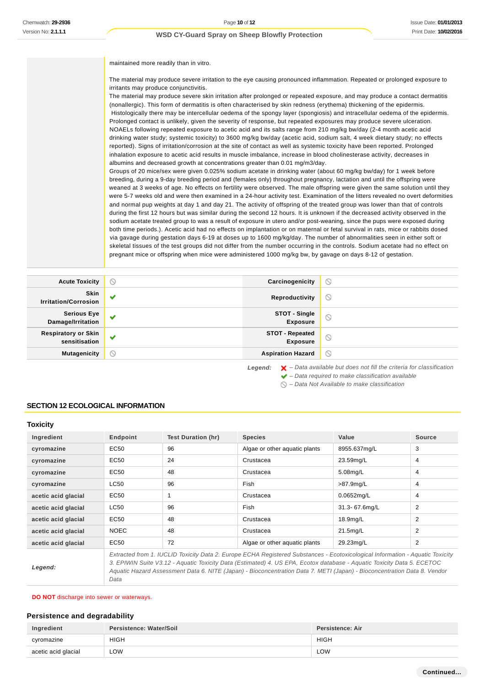maintained more readily than in vitro.

The material may produce severe irritation to the eye causing pronounced inflammation. Repeated or prolonged exposure to irritants may produce conjunctivitis.

The material may produce severe skin irritation after prolonged or repeated exposure, and may produce a contact dermatitis (nonallergic). This form of dermatitis is often characterised by skin redness (erythema) thickening of the epidermis. Histologically there may be intercellular oedema of the spongy layer (spongiosis) and intracellular oedema of the epidermis. Prolonged contact is unlikely, given the severity of response, but repeated exposures may produce severe ulceration. NOAELs following repeated exposure to acetic acid and its salts range from 210 mg/kg bw/day (2-4 month acetic acid drinking water study; systemic toxicity) to 3600 mg/kg bw/day (acetic acid, sodium salt, 4 week dietary study; no effects reported). Signs of irritation/corrosion at the site of contact as well as systemic toxicity have been reported. Prolonged inhalation exposure to acetic acid results in muscle imbalance, increase in blood cholinesterase activity, decreases in albumins and decreased growth at concentrations greater than 0.01 mg/m3/day.

Groups of 20 mice/sex were given 0.025% sodium acetate in drinking water (about 60 mg/kg bw/day) for 1 week before breeding, during a 9-day breeding period and (females only) throughout pregnancy, lactation and until the offspring were weaned at 3 weeks of age. No effects on fertility were observed. The male offspring were given the same solution until they were 5-7 weeks old and were then examined in a 24-hour activity test. Examination of the litters revealed no overt deformities and normal pup weights at day 1 and day 21. The activity of offspring of the treated group was lower than that of controls during the first 12 hours but was similar during the second 12 hours. It is unknown if the decreased activity observed in the sodium acetate treated group to was a result of exposure in utero and/or post-weaning, since the pups were exposed during both time periods.). Acetic acid had no effects on implantation or on maternal or fetal survival in rats, mice or rabbits dosed via gavage during gestation days 6-19 at doses up to 1600 mg/kg/day. The number of abnormalities seen in either soft or skeletal tissues of the test groups did not differ from the number occurring in the controls. Sodium acetate had no effect on pregnant mice or offspring when mice were administered 1000 mg/kg bw, by gavage on days 8-12 of gestation.

| <b>Acute Toxicity</b>                       | $\circ$             | Carcinogenicity                           | $\odot$        |
|---------------------------------------------|---------------------|-------------------------------------------|----------------|
| Skin<br><b>Irritation/Corrosion</b>         | w                   | Reproductivity                            | $\odot$        |
| <b>Serious Eye</b><br>Damage/Irritation     | $\checkmark$        | STOT - Single<br><b>Exposure</b>          | $\odot$        |
| <b>Respiratory or Skin</b><br>sensitisation | $\checkmark$        | <b>STOT - Repeated</b><br><b>Exposure</b> | $\circledcirc$ |
| <b>Mutagenicity</b>                         | $\circlearrowright$ | <b>Aspiration Hazard</b>                  | $\circledcirc$ |

Legend:  $\mathsf{X}$  - Data available but does not fill the criteria for classification  $\blacktriangleright$  – Data required to make classification available

 $\bigcirc$  – Data Not Available to make classification

## **SECTION 12 ECOLOGICAL INFORMATION**

# **Toxicity**

| IVAIVILY            |             |                           |                               |               |                |
|---------------------|-------------|---------------------------|-------------------------------|---------------|----------------|
| Ingredient          | Endpoint    | <b>Test Duration (hr)</b> | <b>Species</b>                | Value         | <b>Source</b>  |
| cyromazine          | EC50        | 96                        | Algae or other aquatic plants | 8955.637mg/L  | 3              |
| cyromazine          | EC50        | 24                        | Crustacea                     | 23.59mg/L     | $\overline{4}$ |
| cyromazine          | EC50        | 48                        | Crustacea                     | 5.08mg/L      | $\overline{4}$ |
| cyromazine          | <b>LC50</b> | 96                        | Fish                          | >87.9mg/L     | $\overline{4}$ |
| acetic acid glacial | EC50        | 1                         | Crustacea                     | 0.0652mg/L    | $\overline{4}$ |
| acetic acid glacial | <b>LC50</b> | 96                        | Fish                          | 31.3-67.6mg/L | $\overline{2}$ |
| acetic acid glacial | EC50        | 48                        | Crustacea                     | 18.9mg/L      | $\overline{2}$ |
| acetic acid glacial | <b>NOEC</b> | 48                        | Crustacea                     | $21.5$ mg/L   | $\overline{2}$ |
| acetic acid glacial | EC50        | 72                        | Algae or other aquatic plants | 29.23mg/L     | $\overline{2}$ |
|                     |             |                           |                               |               |                |

**Legend:**

Extracted from 1. IUCLID Toxicity Data 2. Europe ECHA Registered Substances - Ecotoxicological Information - Aquatic Toxicity 3. EPIWIN Suite V3.12 - Aquatic Toxicity Data (Estimated) 4. US EPA, Ecotox database - Aquatic Toxicity Data 5. ECETOC Aquatic Hazard Assessment Data 6. NITE (Japan) - Bioconcentration Data 7. METI (Japan) - Bioconcentration Data 8. Vendor Data

#### **DO NOT** discharge into sewer or waterways.

#### **Persistence and degradability**

| Ingredient          | Persistence: Water/Soil | Persistence: Air |
|---------------------|-------------------------|------------------|
| cyromazine          | <b>HIGH</b>             | <b>HIGH</b>      |
| acetic acid glacial | LOW.                    | LOW              |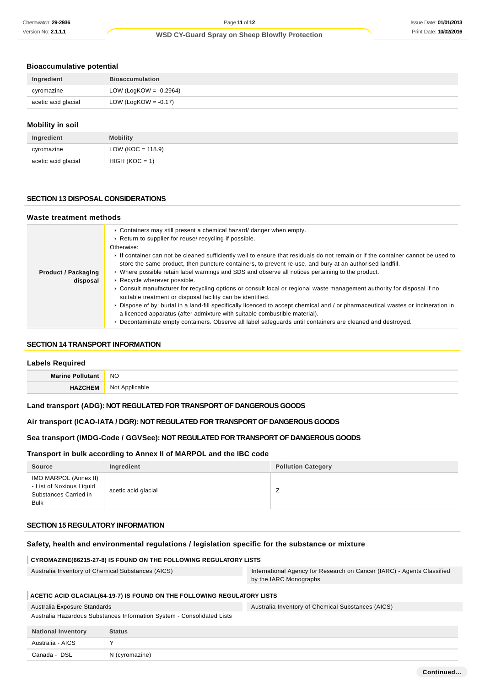## **Bioaccumulative potential**

| Ingredient          | <b>Bioaccumulation</b>    |
|---------------------|---------------------------|
| cyromazine          | LOW (LogKOW = $-0.2964$ ) |
| acetic acid glacial | LOW (LogKOW = $-0.17$ )   |

#### **Mobility in soil**

| Ingredient          | <b>Mobility</b>     |
|---------------------|---------------------|
| cyromazine          | $LOW (KOC = 118.9)$ |
| acetic acid glacial | $HIGH (KOC = 1)$    |

### **SECTION 13 DISPOSAL CONSIDERATIONS**

#### **Waste treatment methods**

|                            | ► Containers may still present a chemical hazard/ danger when empty.                                                              |  |  |
|----------------------------|-----------------------------------------------------------------------------------------------------------------------------------|--|--|
|                            | ► Return to supplier for reuse/ recycling if possible.                                                                            |  |  |
|                            | Otherwise:                                                                                                                        |  |  |
|                            | If container can not be cleaned sufficiently well to ensure that residuals do not remain or if the container cannot be used to    |  |  |
|                            | store the same product, then puncture containers, to prevent re-use, and bury at an authorised landfill.                          |  |  |
| <b>Product / Packaging</b> | ▶ Where possible retain label warnings and SDS and observe all notices pertaining to the product.                                 |  |  |
| disposal                   | Recycle wherever possible.                                                                                                        |  |  |
|                            | ► Consult manufacturer for recycling options or consult local or regional waste management authority for disposal if no           |  |  |
|                            | suitable treatment or disposal facility can be identified.                                                                        |  |  |
|                            | ▶ Dispose of by: burial in a land-fill specifically licenced to accept chemical and / or pharmaceutical wastes or incineration in |  |  |
|                            | a licenced apparatus (after admixture with suitable combustible material).                                                        |  |  |
|                            | ▶ Decontaminate empty containers. Observe all label safeguards until containers are cleaned and destroyed.                        |  |  |

## **SECTION 14 TRANSPORT INFORMATION**

#### **Labels Required**

| <b>Marine Poll</b> | <b>NO</b>         |
|--------------------|-------------------|
| <b>HAZCHEM</b>     | Not<br>Applicable |

## **Land transport (ADG): NOT REGULATED FOR TRANSPORT OF DANGEROUS GOODS**

## **Air transport (ICAO-IATA / DGR): NOT REGULATED FOR TRANSPORT OF DANGEROUS GOODS**

## **Sea transport (IMDG-Code / GGVSee): NOT REGULATED FOR TRANSPORT OF DANGEROUS GOODS**

### **Transport in bulk according to Annex II of MARPOL and the IBC code**

| <b>Source</b>                                                                             | Ingredient          | <b>Pollution Category</b> |
|-------------------------------------------------------------------------------------------|---------------------|---------------------------|
| IMO MARPOL (Annex II)<br>- List of Noxious Liquid<br>Substances Carried in<br><b>Bulk</b> | acetic acid glacial | _                         |

## **SECTION 15 REGULATORY INFORMATION**

#### **Safety, health and environmental regulations / legislation specific for the substance or mixture**

#### **CYROMAZINE(66215-27-8) IS FOUND ON THE FOLLOWING REGULATORY LISTS**

| Australia Inventory of Chemical Substances (AICS) | International Agency for Research on Cancer (IARC) - Agents Classified |  |
|---------------------------------------------------|------------------------------------------------------------------------|--|
|                                                   | by the IARC Monographs                                                 |  |

## **ACETIC ACID GLACIAL(64-19-7) IS FOUND ON THE FOLLOWING REGULATORY LISTS**

Australia Exposure Standards Australia Hazardous Substances Information System - Consolidated Lists Australia Inventory of Chemical Substances (AICS)

| <b>National Inventory</b> | <b>Status</b>  |
|---------------------------|----------------|
| Australia - AICS          |                |
| Canada - DSL              | N (cyromazine) |